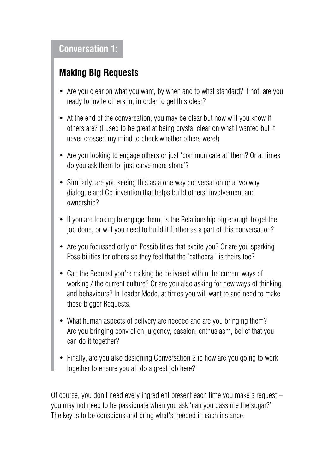# **Conversation 1:**

## **Making Big Requests**

- Are you clear on what you want, by when and to what standard? If not, are you ready to invite others in, in order to get this clear?
- At the end of the conversation, you may be clear but how will you know if others are? (I used to be great at being crystal clear on what I wanted but it never crossed my mind to check whether others were!)
- Are you looking to engage others or just 'communicate at' them? Or at times do you ask them to 'just carve more stone'?
- Similarly, are you seeing this as a one way conversation or a two way dialogue and Co-invention that helps build others' involvement and ownership?
- If you are looking to engage them, is the Relationship big enough to get the job done, or will you need to build it further as a part of this conversation?
- Are you focussed only on Possibilities that excite you? Or are you sparking Possibilities for others so they feel that the 'cathedral' is theirs too?
- Can the Request you're making be delivered within the current ways of working / the current culture? Or are you also asking for new ways of thinking and behaviours? In Leader Mode, at times you will want to and need to make these bigger Requests.
- What human aspects of delivery are needed and are you bringing them? Are you bringing conviction, urgency, passion, enthusiasm, belief that you can do it together?
- Finally, are you also designing Conversation 2 ie how are you going to work together to ensure you all do a great job here?

Of course, you don't need every ingredient present each time you make a request – you may not need to be passionate when you ask 'can you pass me the sugar?' The key is to be conscious and bring what's needed in each instance.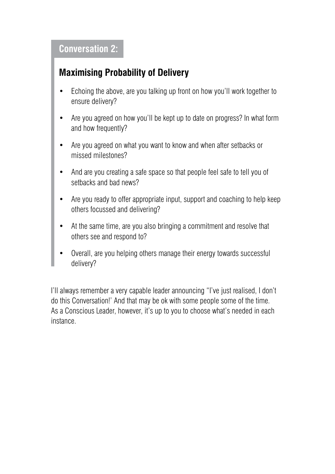## **Conversation 2:**

# **Maximising Probability of Delivery**

- Echoing the above, are you talking up front on how you'll work together to ensure delivery?
- Are you agreed on how you'll be kept up to date on progress? In what form and how frequently?
- Are you agreed on what you want to know and when after setbacks or missed milestones?
- And are you creating a safe space so that people feel safe to tell you of setbacks and bad news?
- Are you ready to offer appropriate input, support and coaching to help keep others focussed and delivering?
- At the same time, are you also bringing a commitment and resolve that others see and respond to?
- Overall, are you helping others manage their energy towards successful delivery?

I'll always remember a very capable leader announcing "I've just realised, I don't do this Conversation!' And that may be ok with some people some of the time. As a Conscious Leader, however, it's up to you to choose what's needed in each instance.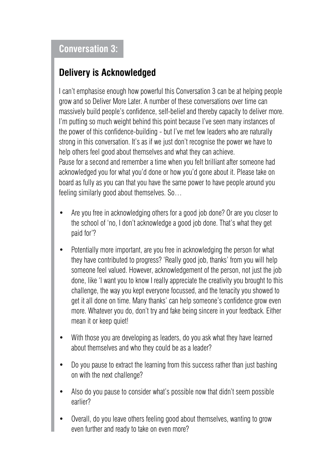### **Conversation 3:**

# **Delivery is Acknowledged**

 I can't emphasise enough how powerful this Conversation 3 can be at helping people grow and so Deliver More Later. A number of these conversations over time can massively build people's confidence, self-belief and thereby capacity to deliver more. I'm putting so much weight behind this point because I've seen many instances of the power of this confidence-building - but I've met few leaders who are naturally strong in this conversation. It's as if we just don't recognise the power we have to help others feel good about themselves and what they can achieve. Pause for a second and remember a time when you felt brilliant after someone had acknowledged you for what you'd done or how you'd gone about it. Please take on board as fully as you can that you have the same power to have people around you feeling similarly good about themselves. So…

- Are you free in acknowledging others for a good job done? Or are you closer to the school of 'no, I don't acknowledge a good job done. That's what they get paid for'?
- Potentially more important, are you free in acknowledging the person for what they have contributed to progress? 'Really good job, thanks' from you will help someone feel valued. However, acknowledgement of the person, not just the job done, like 'I want you to know I really appreciate the creativity you brought to this challenge, the way you kept everyone focussed, and the tenacity you showed to get it all done on time. Many thanks' can help someone's confidence grow even more. Whatever you do, don't try and fake being sincere in your feedback. Either mean it or keep quiet!
- With those you are developing as leaders, do you ask what they have learned about themselves and who they could be as a leader?
- Do you pause to extract the learning from this success rather than just bashing on with the next challenge?
- Also do you pause to consider what's possible now that didn't seem possible earlier?
- Overall, do you leave others feeling good about themselves, wanting to grow even further and ready to take on even more?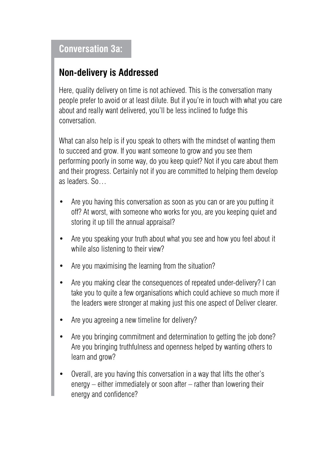#### **Conversation 3a:**

# **Non-delivery is Addressed**

 Here, quality delivery on time is not achieved. This is the conversation many people prefer to avoid or at least dilute. But if you're in touch with what you care about and really want delivered, you'll be less inclined to fudge this conversation.

 What can also help is if you speak to others with the mindset of wanting them to succeed and grow. If you want someone to grow and you see them performing poorly in some way, do you keep quiet? Not if you care about them and their progress. Certainly not if you are committed to helping them develop as leaders. So…

- Are you having this conversation as soon as you can or are you putting it off? At worst, with someone who works for you, are you keeping quiet and storing it up till the annual appraisal?
- Are you speaking your truth about what you see and how you feel about it while also listening to their view?
- Are you maximising the learning from the situation?
- Are you making clear the consequences of repeated under-delivery? I can take you to quite a few organisations which could achieve so much more if the leaders were stronger at making just this one aspect of Deliver clearer.
- Are you agreeing a new timeline for delivery?
- Are you bringing commitment and determination to getting the job done? Are you bringing truthfulness and openness helped by wanting others to learn and grow?
- Overall, are you having this conversation in a way that lifts the other's energy – either immediately or soon after – rather than lowering their energy and confidence?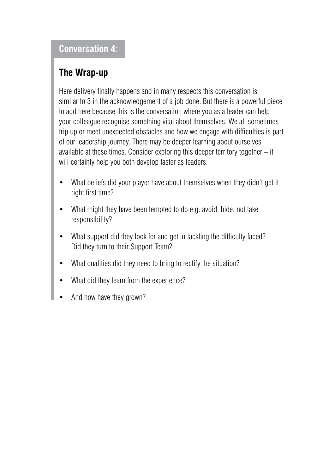#### **Conversation 4:**

## **The Wrap-up**

 Here delivery finally happens and in many respects this conversation is similar to 3 in the acknowledgement of a job done. But there is a powerful piece to add here because this is the conversation where you as a leader can help your colleague recognise something vital about themselves. We all sometimes trip up or meet unexpected obstacles and how we engage with difficulties is part of our leadership journey. There may be deeper learning about ourselves available at these times. Consider exploring this deeper territory together – it will certainly help you both develop faster as leaders:

- What beliefs did your player have about themselves when they didn't get it right first time?
- What might they have been tempted to do e.g. avoid, hide, not take responsibility?
- What support did they look for and get in tackling the difficulty faced? Did they turn to their Support Team?
- What qualities did they need to bring to rectify the situation?
- What did they learn from the experience?
- And how have they grown?